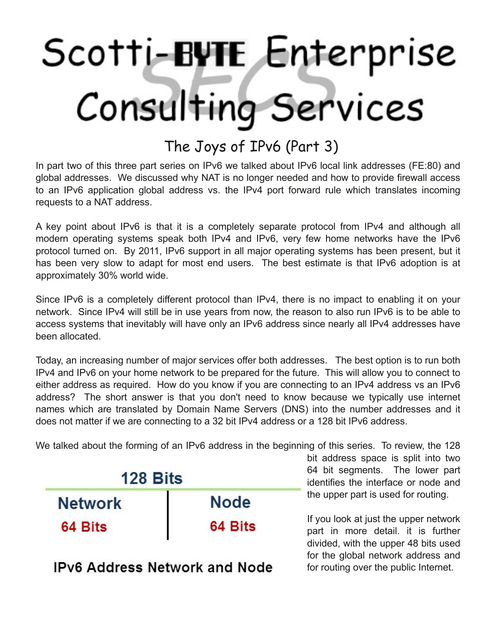## Scotti-BUTE Enterprise Consulting Services

## The Joys of IPv6 (Part 3)

In part two of this three part series on IPv6 we talked about IPv6 local link addresses (FE:80) and global addresses. We discussed why NAT is no longer needed and how to provide firewall access to an IPv6 application global address vs. the IPv4 port forward rule which translates incoming requests to a NAT address.

A key point about IPv6 is that it is a completely separate protocol from IPv4 and although all modern operating systems speak both IPv4 and IPv6, very few home networks have the IPv6 protocol turned on. By 2011, IPv6 support in all major operating systems has been present, but it has been very slow to adapt for most end users. The best estimate is that IPv6 adoption is at approximately 30% world wide.

Since IPv6 is a completely different protocol than IPv4, there is no impact to enabling it on your network. Since IPv4 will still be in use years from now, the reason to also run IPv6 is to be able to access systems that inevitably will have only an IPv6 address since nearly all IPv4 addresses have been allocated.

Today, an increasing number of major services offer both addresses. The best option is to run both IPv4 and IPv6 on your home network to be prepared for the future. This will allow you to connect to either address as required. How do you know if you are connecting to an IPv4 address vs an IPv6 address? The short answer is that you don't need to know because we typically use internet names which are translated by Domain Name Servers (DNS) into the number addresses and it does not matter if we are connecting to a 32 bit IPv4 address or a 128 bit IPv6 address.

We talked about the forming of an IPv6 address in the beginning of this series. To review, the 128



**IPv6 Address Network and Node** 

bit address space is split into two 64 bit segments. The lower part identifies the interface or node and the upper part is used for routing.

If you look at just the upper network part in more detail. it is further divided, with the upper 48 bits used for the global network address and for routing over the public Internet.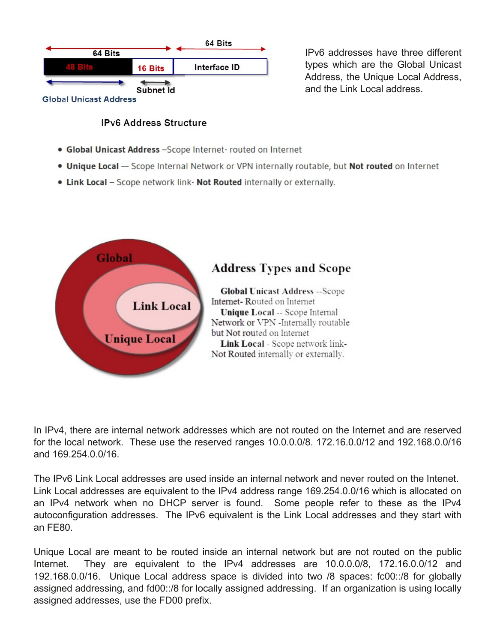

IPv6 addresses have three different types which are the Global Unicast Address, the Unique Local Address, and the Link Local address.

## **IPv6 Address Structure**

- · Global Unicast Address -Scope Internet- routed on Internet
- . Unique Local Scope Internal Network or VPN internally routable, but Not routed on Internet
- . Link Local Scope network link- Not Routed internally or externally.



In IPv4, there are internal network addresses which are not routed on the Internet and are reserved for the local network. These use the reserved ranges 10.0.0.0/8. 172.16.0.0/12 and 192.168.0.0/16 and 169.254.0.0/16.

The IPv6 Link Local addresses are used inside an internal network and never routed on the Intenet. Link Local addresses are equivalent to the IPv4 address range 169.254.0.0/16 which is allocated on an IPv4 network when no DHCP server is found. Some people refer to these as the IPv4 autoconfiguration addresses. The IPv6 equivalent is the Link Local addresses and they start with an FE80.

Unique Local are meant to be routed inside an internal network but are not routed on the public Internet. They are equivalent to the IPv4 addresses are 10.0.0.0/8, 172.16.0.0/12 and 192.168.0.0/16. Unique Local address space is divided into two /8 spaces: fc00::/8 for globally assigned addressing, and fd00::/8 for locally assigned addressing. If an organization is using locally assigned addresses, use the FD00 prefix.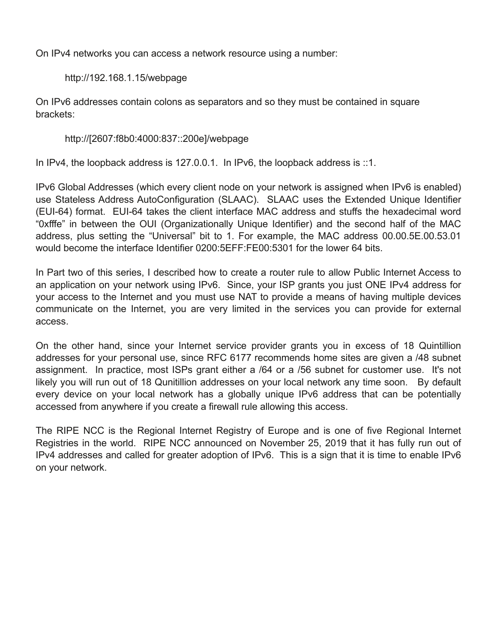On IPv4 networks you can access a network resource using a number:

http://192.168.1.15/webpage

On IPv6 addresses contain colons as separators and so they must be contained in square brackets:

http://[2607:f8b0:4000:837::200e]/webpage

In IPv4, the loopback address is 127.0.0.1. In IPv6, the loopback address is ::1.

IPv6 Global Addresses (which every client node on your network is assigned when IPv6 is enabled) use Stateless Address AutoConfiguration (SLAAC). SLAAC uses the Extended Unique Identifier (EUI-64) format. EUI-64 takes the client interface MAC address and stuffs the hexadecimal word "0xfffe" in between the OUI (Organizationally Unique Identifier) and the second half of the MAC address, plus setting the "Universal" bit to 1. For example, the MAC address 00.00.5E.00.53.01 would become the interface Identifier 0200:5EFF:FE00:5301 for the lower 64 bits.

In Part two of this series, I described how to create a router rule to allow Public Internet Access to an application on your network using IPv6. Since, your ISP grants you just ONE IPv4 address for your access to the Internet and you must use NAT to provide a means of having multiple devices communicate on the Internet, you are very limited in the services you can provide for external access.

On the other hand, since your Internet service provider grants you in excess of 18 Quintillion addresses for your personal use, since RFC 6177 recommends home sites are given a /48 subnet assignment. In practice, most ISPs grant either a /64 or a /56 subnet for customer use. It's not likely you will run out of 18 Qunitillion addresses on your local network any time soon. By default every device on your local network has a globally unique IPv6 address that can be potentially accessed from anywhere if you create a firewall rule allowing this access.

The RIPE NCC is the Regional Internet Registry of Europe and is one of five Regional Internet Registries in the world. RIPE NCC announced on November 25, 2019 that it has fully run out of IPv4 addresses and called for greater adoption of IPv6. This is a sign that it is time to enable IPv6 on your network.